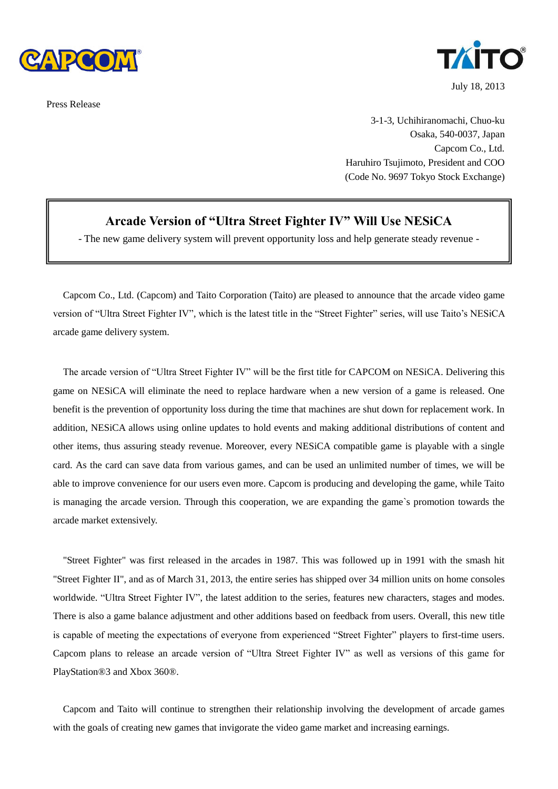

Press Release



July 18, 2013

3-1-3, Uchihiranomachi, Chuo-ku Osaka, 540-0037, Japan Capcom Co., Ltd. Haruhiro Tsujimoto, President and COO (Code No. 9697 Tokyo Stock Exchange)

## **Arcade Version of "Ultra Street Fighter IV" Will Use NESiCA**

- The new game delivery system will prevent opportunity loss and help generate steady revenue -

Capcom Co., Ltd. (Capcom) and Taito Corporation (Taito) are pleased to announce that the arcade video game version of "Ultra Street Fighter IV", which is the latest title in the "Street Fighter" series, will use Taito's NESiCA arcade game delivery system.

The arcade version of "Ultra Street Fighter IV" will be the first title for CAPCOM on NESiCA. Delivering this game on NESiCA will eliminate the need to replace hardware when a new version of a game is released. One benefit is the prevention of opportunity loss during the time that machines are shut down for replacement work. In addition, NESiCA allows using online updates to hold events and making additional distributions of content and other items, thus assuring steady revenue. Moreover, every NESiCA compatible game is playable with a single card. As the card can save data from various games, and can be used an unlimited number of times, we will be able to improve convenience for our users even more. Capcom is producing and developing the game, while Taito is managing the arcade version. Through this cooperation, we are expanding the game`s promotion towards the arcade market extensively.

"Street Fighter" was first released in the arcades in 1987. This was followed up in 1991 with the smash hit "Street Fighter II", and as of March 31, 2013, the entire series has shipped over 34 million units on home consoles worldwide. "Ultra Street Fighter IV", the latest addition to the series, features new characters, stages and modes. There is also a game balance adjustment and other additions based on feedback from users. Overall, this new title is capable of meeting the expectations of everyone from experienced "Street Fighter" players to first-time users. Capcom plans to release an arcade version of "Ultra Street Fighter IV" as well as versions of this game for PlayStation®3 and Xbox 360®.

Capcom and Taito will continue to strengthen their relationship involving the development of arcade games with the goals of creating new games that invigorate the video game market and increasing earnings.